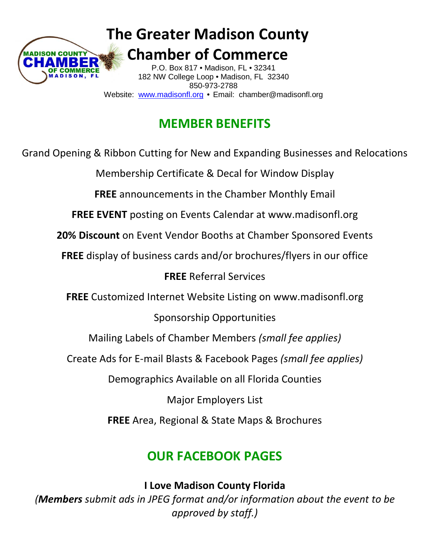

**The Greater Madison County**

 **Chamber of Commerce** $\overline{\phantom{a}}$  182 NW College Loop • Madison, FL 32340 Website: [www.madisonfl.org](http://www.madisonfl.org/) • Email: chamber@madisonfl.org P.O. Box 817 • Madison, FL • 32341 850-973-2788

# **MEMBER BENEFITS**

Grand Opening & Ribbon Cutting for New and Expanding Businesses and Relocations Membership Certificate & Decal for Window Display **FREE** announcements in the Chamber Monthly Email **FREE EVENT** posting on Events Calendar at www.madisonfl.org **20% Discount** on Event Vendor Booths at Chamber Sponsored Events **FREE** display of business cards and/or brochures/flyers in our office **FREE** Referral Services **FREE** Customized Internet Website Listing on www.madisonfl.org Sponsorship Opportunities Mailing Labels of Chamber Members *(small fee applies)* Create Ads for E-mail Blasts & Facebook Pages *(small fee applies)* Demographics Available on all Florida Counties Major Employers List **FREE** Area, Regional & State Maps & Brochures

## **OUR FACEBOOK PAGES**

**I Love Madison County Florida**

*(Members submit ads in JPEG format and/or information about the event to be approved by staff.)*